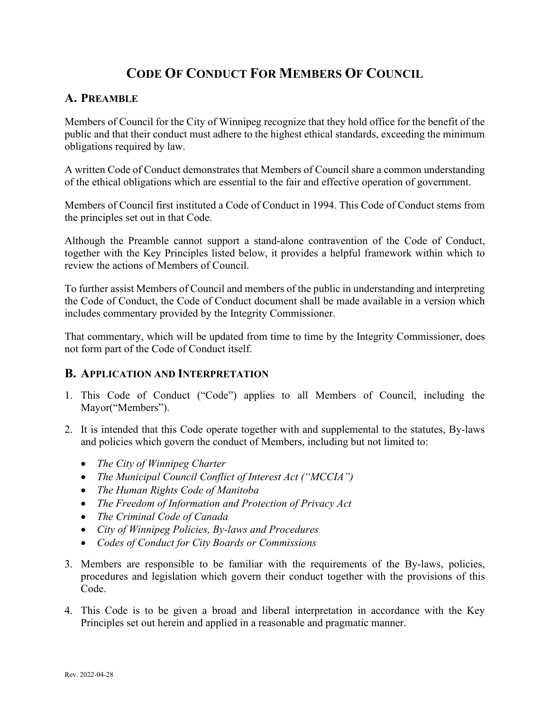# **CODE OF CONDUCT FOR MEMBERS OF COUNCIL**

# **A. PREAMBLE**

Members of Council for the City of Winnipeg recognize that they hold office for the benefit of the public and that their conduct must adhere to the highest ethical standards, exceeding the minimum obligations required by law.

A written Code of Conduct demonstrates that Members of Council share a common understanding of the ethical obligations which are essential to the fair and effective operation of government.

Members of Council first instituted a Code of Conduct in 1994. This Code of Conduct stems from the principles set out in that Code.

Although the Preamble cannot support a stand-alone contravention of the Code of Conduct, together with the Key Principles listed below, it provides a helpful framework within which to review the actions of Members of Council.

To further assist Members of Council and members of the public in understanding and interpreting the Code of Conduct, the Code of Conduct document shall be made available in a version which includes commentary provided by the Integrity Commissioner.

That commentary, which will be updated from time to time by the Integrity Commissioner, does not form part of the Code of Conduct itself.

## **B. APPLICATION AND INTERPRETATION**

- 1. This Code of Conduct ("Code") applies to all Members of Council, including the Mayor("Members").
- 2. It is intended that this Code operate together with and supplemental to the statutes, By-laws and policies which govern the conduct of Members, including but not limited to:
	- *The City of Winnipeg Charter*
	- *The Municipal Council Conflict of Interest Act ("MCCIA")*
	- *The Human Rights Code of Manitoba*
	- *The Freedom of Information and Protection of Privacy Act*
	- *The Criminal Code of Canada*
	- *City of Winnipeg Policies, By-laws and Procedures*
	- *Codes of Conduct for City Boards or Commissions*
- 3. Members are responsible to be familiar with the requirements of the By-laws, policies, procedures and legislation which govern their conduct together with the provisions of this Code.
- 4. This Code is to be given a broad and liberal interpretation in accordance with the Key Principles set out herein and applied in a reasonable and pragmatic manner.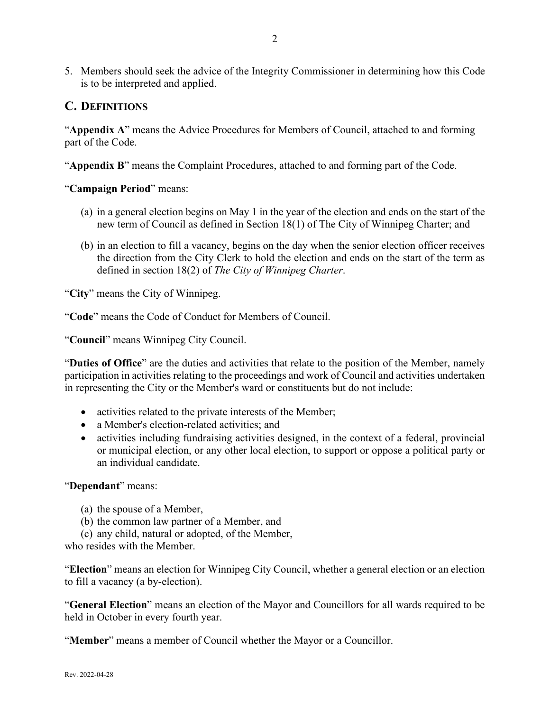5. Members should seek the advice of the Integrity Commissioner in determining how this Code is to be interpreted and applied.

# **C. DEFINITIONS**

"**Appendix A**" means the Advice Procedures for Members of Council, attached to and forming part of the Code.

"**Appendix B**" means the Complaint Procedures, attached to and forming part of the Code.

### "**Campaign Period**" means:

- (a) in a general election begins on May 1 in the year of the election and ends on the start of the new term of Council as defined in Section 18(1) of The City of Winnipeg Charter; and
- (b) in an election to fill a vacancy, begins on the day when the senior election officer receives the direction from the City Clerk to hold the election and ends on the start of the term as defined in section 18(2) of *The City of Winnipeg Charter*.

"**City**" means the City of Winnipeg.

"**Code**" means the Code of Conduct for Members of Council.

"**Council**" means Winnipeg City Council.

"**Duties of Office**" are the duties and activities that relate to the position of the Member, namely participation in activities relating to the proceedings and work of Council and activities undertaken in representing the City or the Member's ward or constituents but do not include:

- activities related to the private interests of the Member;
- a Member's election-related activities; and
- activities including fundraising activities designed, in the context of a federal, provincial or municipal election, or any other local election, to support or oppose a political party or an individual candidate.

### "**Dependant**" means:

- (a) the spouse of a Member,
- (b) the common law partner of a Member, and
- (c) any child, natural or adopted, of the Member,

who resides with the Member.

"**Election**" means an election for Winnipeg City Council, whether a general election or an election to fill a vacancy (a by-election).

"**General Election**" means an election of the Mayor and Councillors for all wards required to be held in October in every fourth year.

"**Member**" means a member of Council whether the Mayor or a Councillor.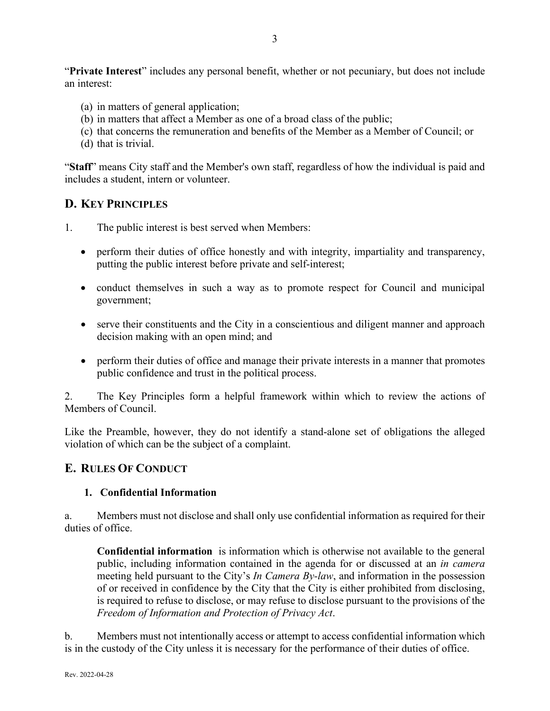"**Private Interest**" includes any personal benefit, whether or not pecuniary, but does not include an interest:

- (a) in matters of general application;
- (b) in matters that affect a Member as one of a broad class of the public;
- (c) that concerns the remuneration and benefits of the Member as a Member of Council; or
- (d) that is trivial.

"**Staff**" means City staff and the Member's own staff, regardless of how the individual is paid and includes a student, intern or volunteer.

# **D. KEY PRINCIPLES**

1. The public interest is best served when Members:

- perform their duties of office honestly and with integrity, impartiality and transparency, putting the public interest before private and self-interest;
- conduct themselves in such a way as to promote respect for Council and municipal government;
- serve their constituents and the City in a conscientious and diligent manner and approach decision making with an open mind; and
- perform their duties of office and manage their private interests in a manner that promotes public confidence and trust in the political process.

2. The Key Principles form a helpful framework within which to review the actions of Members of Council.

Like the Preamble, however, they do not identify a stand-alone set of obligations the alleged violation of which can be the subject of a complaint.

## **E. RULES OF CONDUCT**

### **1. Confidential Information**

a. Members must not disclose and shall only use confidential information as required for their duties of office.

**Confidential information** is information which is otherwise not available to the general public, including information contained in the agenda for or discussed at an *in camera* meeting held pursuant to the City's *In Camera By-law*, and information in the possession of or received in confidence by the City that the City is either prohibited from disclosing, is required to refuse to disclose, or may refuse to disclose pursuant to the provisions of the *Freedom of Information and Protection of Privacy Act*.

b. Members must not intentionally access or attempt to access confidential information which is in the custody of the City unless it is necessary for the performance of their duties of office.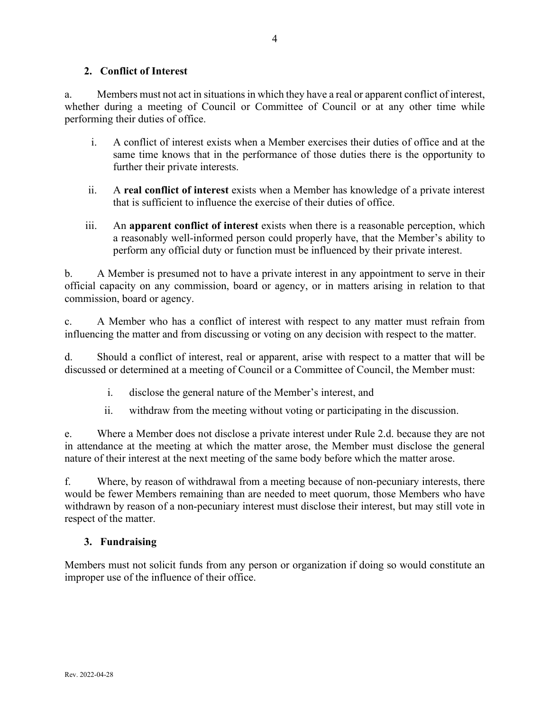### **2. Conflict of Interest**

a. Members must not act in situations in which they have a real or apparent conflict of interest, whether during a meeting of Council or Committee of Council or at any other time while performing their duties of office.

- i. A conflict of interest exists when a Member exercises their duties of office and at the same time knows that in the performance of those duties there is the opportunity to further their private interests.
- ii. A **real conflict of interest** exists when a Member has knowledge of a private interest that is sufficient to influence the exercise of their duties of office.
- iii. An **apparent conflict of interest** exists when there is a reasonable perception, which a reasonably well-informed person could properly have, that the Member's ability to perform any official duty or function must be influenced by their private interest.

b. A Member is presumed not to have a private interest in any appointment to serve in their official capacity on any commission, board or agency, or in matters arising in relation to that commission, board or agency.

c. A Member who has a conflict of interest with respect to any matter must refrain from influencing the matter and from discussing or voting on any decision with respect to the matter.

d. Should a conflict of interest, real or apparent, arise with respect to a matter that will be discussed or determined at a meeting of Council or a Committee of Council, the Member must:

- i. disclose the general nature of the Member's interest, and
- ii. withdraw from the meeting without voting or participating in the discussion.

e. Where a Member does not disclose a private interest under Rule 2.d. because they are not in attendance at the meeting at which the matter arose, the Member must disclose the general nature of their interest at the next meeting of the same body before which the matter arose.

f. Where, by reason of withdrawal from a meeting because of non-pecuniary interests, there would be fewer Members remaining than are needed to meet quorum, those Members who have withdrawn by reason of a non-pecuniary interest must disclose their interest, but may still vote in respect of the matter.

## **3. Fundraising**

Members must not solicit funds from any person or organization if doing so would constitute an improper use of the influence of their office.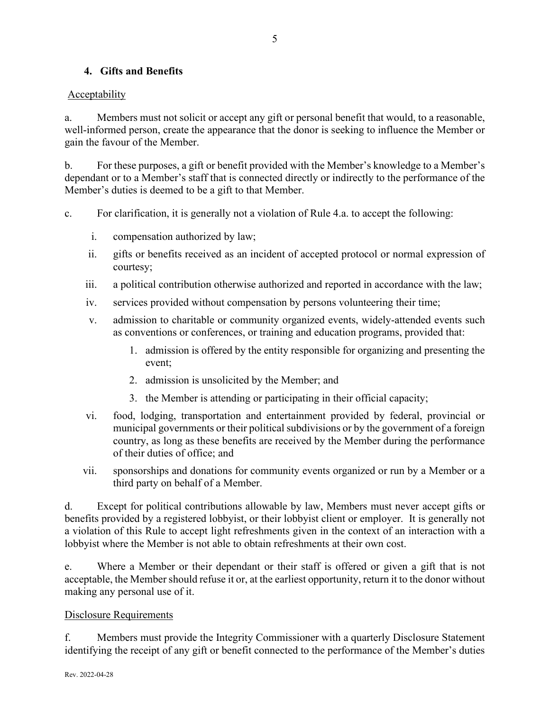## **4. Gifts and Benefits**

### Acceptability

a. Members must not solicit or accept any gift or personal benefit that would, to a reasonable, well-informed person, create the appearance that the donor is seeking to influence the Member or gain the favour of the Member.

b. For these purposes, a gift or benefit provided with the Member's knowledge to a Member's dependant or to a Member's staff that is connected directly or indirectly to the performance of the Member's duties is deemed to be a gift to that Member.

c. For clarification, it is generally not a violation of Rule 4.a. to accept the following:

- i. compensation authorized by law;
- ii. gifts or benefits received as an incident of accepted protocol or normal expression of courtesy;
- iii. a political contribution otherwise authorized and reported in accordance with the law;
- iv. services provided without compensation by persons volunteering their time;
- v. admission to charitable or community organized events, widely-attended events such as conventions or conferences, or training and education programs, provided that:
	- 1. admission is offered by the entity responsible for organizing and presenting the event;
	- 2. admission is unsolicited by the Member; and
	- 3. the Member is attending or participating in their official capacity;
- vi. food, lodging, transportation and entertainment provided by federal, provincial or municipal governments or their political subdivisions or by the government of a foreign country, as long as these benefits are received by the Member during the performance of their duties of office; and
- vii. sponsorships and donations for community events organized or run by a Member or a third party on behalf of a Member.

d. Except for political contributions allowable by law, Members must never accept gifts or benefits provided by a registered lobbyist, or their lobbyist client or employer. It is generally not a violation of this Rule to accept light refreshments given in the context of an interaction with a lobbyist where the Member is not able to obtain refreshments at their own cost.

e. Where a Member or their dependant or their staff is offered or given a gift that is not acceptable, the Member should refuse it or, at the earliest opportunity, return it to the donor without making any personal use of it.

### Disclosure Requirements

f. Members must provide the Integrity Commissioner with a quarterly Disclosure Statement identifying the receipt of any gift or benefit connected to the performance of the Member's duties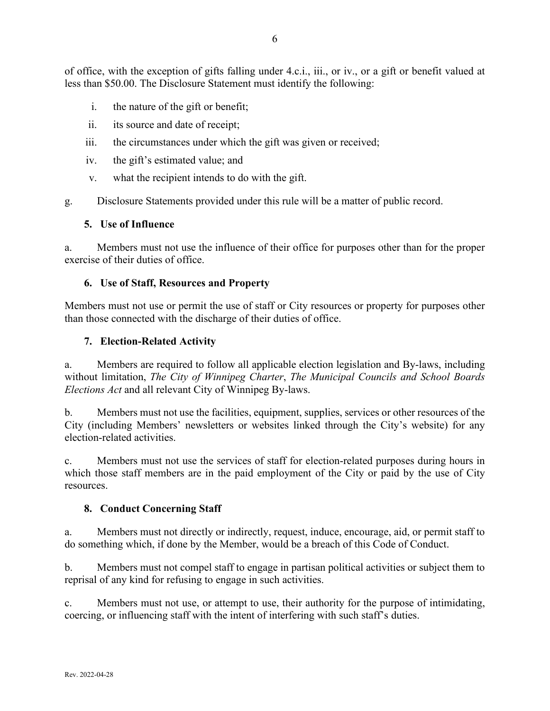of office, with the exception of gifts falling under 4.c.i., iii., or iv., or a gift or benefit valued at less than \$50.00. The Disclosure Statement must identify the following:

- i. the nature of the gift or benefit;
- ii. its source and date of receipt;
- iii. the circumstances under which the gift was given or received;
- iv. the gift's estimated value; and
- v. what the recipient intends to do with the gift.

g. Disclosure Statements provided under this rule will be a matter of public record.

### **5. Use of Influence**

a. Members must not use the influence of their office for purposes other than for the proper exercise of their duties of office.

### **6. Use of Staff, Resources and Property**

Members must not use or permit the use of staff or City resources or property for purposes other than those connected with the discharge of their duties of office.

### **7. Election-Related Activity**

a. Members are required to follow all applicable election legislation and By-laws, including without limitation, *The City of Winnipeg Charter*, *The Municipal Councils and School Boards Elections Act* and all relevant City of Winnipeg By-laws.

b. Members must not use the facilities, equipment, supplies, services or other resources of the City (including Members' newsletters or websites linked through the City's website) for any election-related activities.

c. Members must not use the services of staff for election-related purposes during hours in which those staff members are in the paid employment of the City or paid by the use of City resources.

### **8. Conduct Concerning Staff**

a. Members must not directly or indirectly, request, induce, encourage, aid, or permit staff to do something which, if done by the Member, would be a breach of this Code of Conduct.

b. Members must not compel staff to engage in partisan political activities or subject them to reprisal of any kind for refusing to engage in such activities.

c. Members must not use, or attempt to use, their authority for the purpose of intimidating, coercing, or influencing staff with the intent of interfering with such staff's duties.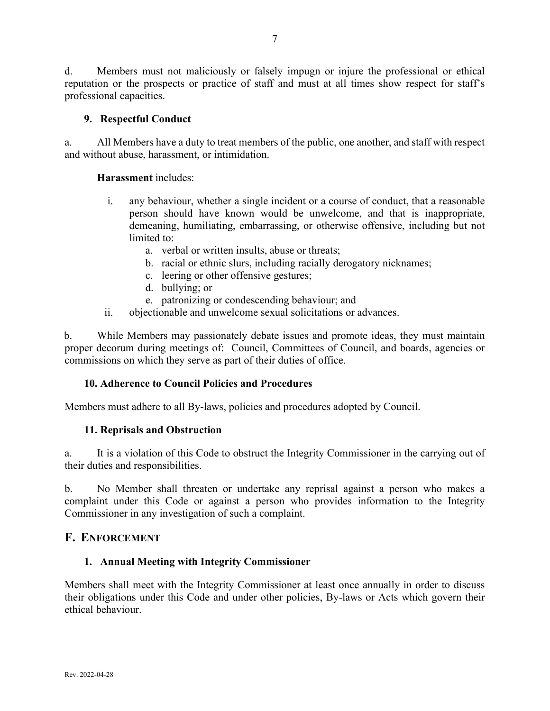d. Members must not maliciously or falsely impugn or injure the professional or ethical reputation or the prospects or practice of staff and must at all times show respect for staff's professional capacities.

### **9. Respectful Conduct**

a. All Members have a duty to treat members of the public, one another, and staff with respect and without abuse, harassment, or intimidation.

### **Harassment** includes:

- i. any behaviour, whether a single incident or a course of conduct, that a reasonable person should have known would be unwelcome, and that is inappropriate, demeaning, humiliating, embarrassing, or otherwise offensive, including but not limited to:
	- a. verbal or written insults, abuse or threats;
	- b. racial or ethnic slurs, including racially derogatory nicknames;
	- c. leering or other offensive gestures;
	- d. bullying; or
	- e. patronizing or condescending behaviour; and
- ii. objectionable and unwelcome sexual solicitations or advances.

b. While Members may passionately debate issues and promote ideas, they must maintain proper decorum during meetings of: Council, Committees of Council, and boards, agencies or commissions on which they serve as part of their duties of office.

### **10. Adherence to Council Policies and Procedures**

Members must adhere to all By-laws, policies and procedures adopted by Council.

### **11. Reprisals and Obstruction**

a. It is a violation of this Code to obstruct the Integrity Commissioner in the carrying out of their duties and responsibilities.

b. No Member shall threaten or undertake any reprisal against a person who makes a complaint under this Code or against a person who provides information to the Integrity Commissioner in any investigation of such a complaint.

### **F. ENFORCEMENT**

### **1. Annual Meeting with Integrity Commissioner**

Members shall meet with the Integrity Commissioner at least once annually in order to discuss their obligations under this Code and under other policies, By-laws or Acts which govern their ethical behaviour.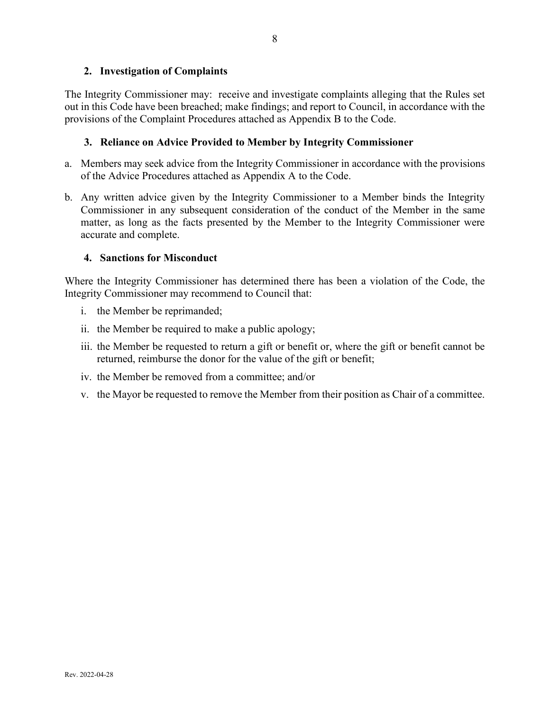### **2. Investigation of Complaints**

The Integrity Commissioner may: receive and investigate complaints alleging that the Rules set out in this Code have been breached; make findings; and report to Council, in accordance with the provisions of the Complaint Procedures attached as Appendix B to the Code.

### **3. Reliance on Advice Provided to Member by Integrity Commissioner**

- a. Members may seek advice from the Integrity Commissioner in accordance with the provisions of the Advice Procedures attached as Appendix A to the Code.
- b. Any written advice given by the Integrity Commissioner to a Member binds the Integrity Commissioner in any subsequent consideration of the conduct of the Member in the same matter, as long as the facts presented by the Member to the Integrity Commissioner were accurate and complete.

### **4. Sanctions for Misconduct**

Where the Integrity Commissioner has determined there has been a violation of the Code, the Integrity Commissioner may recommend to Council that:

- i. the Member be reprimanded;
- ii. the Member be required to make a public apology;
- iii. the Member be requested to return a gift or benefit or, where the gift or benefit cannot be returned, reimburse the donor for the value of the gift or benefit;
- iv. the Member be removed from a committee; and/or
- v. the Mayor be requested to remove the Member from their position as Chair of a committee.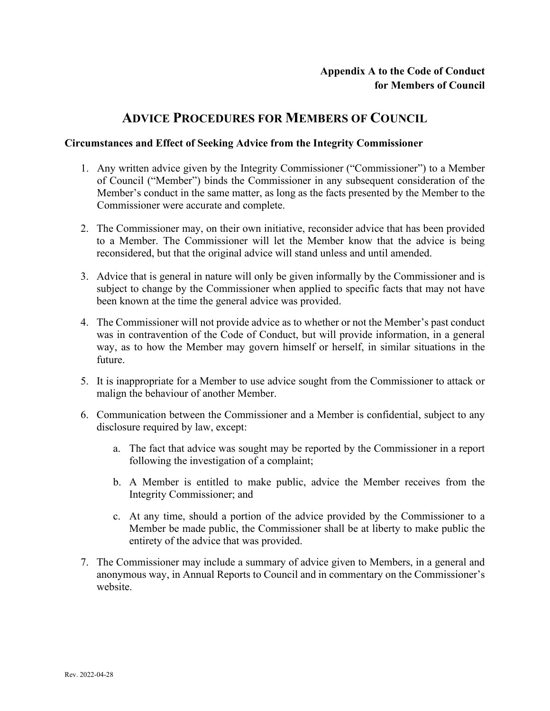# **ADVICE PROCEDURES FOR MEMBERS OF COUNCIL**

### **Circumstances and Effect of Seeking Advice from the Integrity Commissioner**

- 1. Any written advice given by the Integrity Commissioner ("Commissioner") to a Member of Council ("Member") binds the Commissioner in any subsequent consideration of the Member's conduct in the same matter, as long as the facts presented by the Member to the Commissioner were accurate and complete.
- 2. The Commissioner may, on their own initiative, reconsider advice that has been provided to a Member. The Commissioner will let the Member know that the advice is being reconsidered, but that the original advice will stand unless and until amended.
- 3. Advice that is general in nature will only be given informally by the Commissioner and is subject to change by the Commissioner when applied to specific facts that may not have been known at the time the general advice was provided.
- 4. The Commissioner will not provide advice as to whether or not the Member's past conduct was in contravention of the Code of Conduct, but will provide information, in a general way, as to how the Member may govern himself or herself, in similar situations in the future.
- 5. It is inappropriate for a Member to use advice sought from the Commissioner to attack or malign the behaviour of another Member.
- 6. Communication between the Commissioner and a Member is confidential, subject to any disclosure required by law, except:
	- a. The fact that advice was sought may be reported by the Commissioner in a report following the investigation of a complaint;
	- b. A Member is entitled to make public, advice the Member receives from the Integrity Commissioner; and
	- c. At any time, should a portion of the advice provided by the Commissioner to a Member be made public, the Commissioner shall be at liberty to make public the entirety of the advice that was provided.
- 7. The Commissioner may include a summary of advice given to Members, in a general and anonymous way, in Annual Reports to Council and in commentary on the Commissioner's website.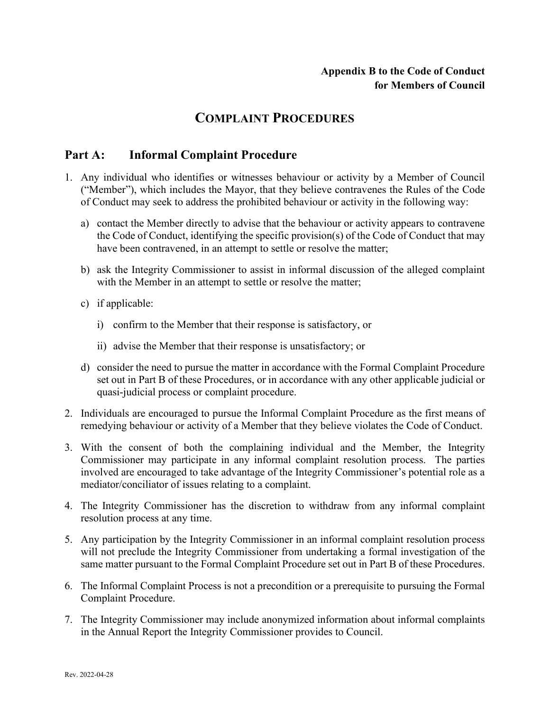# **COMPLAINT PROCEDURES**

# **Part A: Informal Complaint Procedure**

- 1. Any individual who identifies or witnesses behaviour or activity by a Member of Council ("Member"), which includes the Mayor, that they believe contravenes the Rules of the Code of Conduct may seek to address the prohibited behaviour or activity in the following way:
	- a) contact the Member directly to advise that the behaviour or activity appears to contravene the Code of Conduct, identifying the specific provision(s) of the Code of Conduct that may have been contravened, in an attempt to settle or resolve the matter;
	- b) ask the Integrity Commissioner to assist in informal discussion of the alleged complaint with the Member in an attempt to settle or resolve the matter;
	- c) if applicable:
		- i) confirm to the Member that their response is satisfactory, or
		- ii) advise the Member that their response is unsatisfactory; or
	- d) consider the need to pursue the matter in accordance with the Formal Complaint Procedure set out in Part B of these Procedures, or in accordance with any other applicable judicial or quasi-judicial process or complaint procedure.
- 2. Individuals are encouraged to pursue the Informal Complaint Procedure as the first means of remedying behaviour or activity of a Member that they believe violates the Code of Conduct.
- 3. With the consent of both the complaining individual and the Member, the Integrity Commissioner may participate in any informal complaint resolution process. The parties involved are encouraged to take advantage of the Integrity Commissioner's potential role as a mediator/conciliator of issues relating to a complaint.
- 4. The Integrity Commissioner has the discretion to withdraw from any informal complaint resolution process at any time.
- 5. Any participation by the Integrity Commissioner in an informal complaint resolution process will not preclude the Integrity Commissioner from undertaking a formal investigation of the same matter pursuant to the Formal Complaint Procedure set out in Part B of these Procedures.
- 6. The Informal Complaint Process is not a precondition or a prerequisite to pursuing the Formal Complaint Procedure.
- 7. The Integrity Commissioner may include anonymized information about informal complaints in the Annual Report the Integrity Commissioner provides to Council.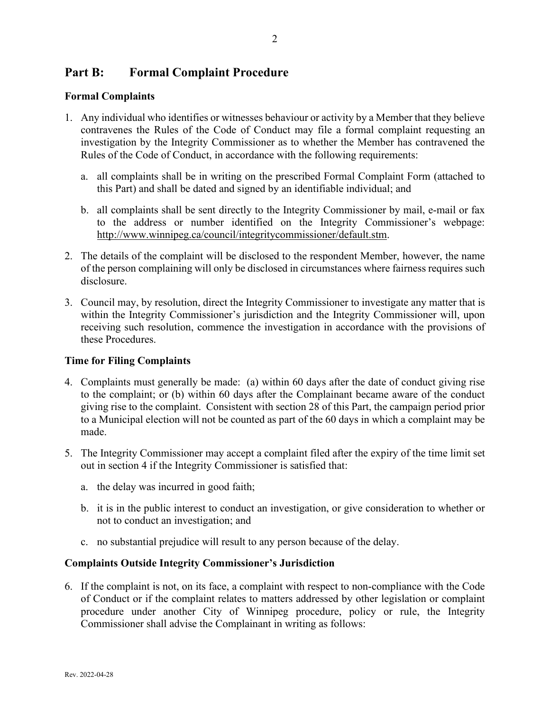# **Part B: Formal Complaint Procedure**

### **Formal Complaints**

- 1. Any individual who identifies or witnesses behaviour or activity by a Member that they believe contravenes the Rules of the Code of Conduct may file a formal complaint requesting an investigation by the Integrity Commissioner as to whether the Member has contravened the Rules of the Code of Conduct, in accordance with the following requirements:
	- a. all complaints shall be in writing on the prescribed Formal Complaint Form (attached to this Part) and shall be dated and signed by an identifiable individual; and
	- b. all complaints shall be sent directly to the Integrity Commissioner by mail, e-mail or fax to the address or number identified on the Integrity Commissioner's webpage: [http://www.winnipeg.ca/council/integritycommissioner/default.stm.](http://www.winnipeg.ca/council/integritycommissioner/default.stm)
- 2. The details of the complaint will be disclosed to the respondent Member, however, the name of the person complaining will only be disclosed in circumstances where fairness requires such disclosure.
- 3. Council may, by resolution, direct the Integrity Commissioner to investigate any matter that is within the Integrity Commissioner's jurisdiction and the Integrity Commissioner will, upon receiving such resolution, commence the investigation in accordance with the provisions of these Procedures.

### **Time for Filing Complaints**

- 4. Complaints must generally be made: (a) within 60 days after the date of conduct giving rise to the complaint; or (b) within 60 days after the Complainant became aware of the conduct giving rise to the complaint. Consistent with section 28 of this Part, the campaign period prior to a Municipal election will not be counted as part of the 60 days in which a complaint may be made.
- 5. The Integrity Commissioner may accept a complaint filed after the expiry of the time limit set out in section 4 if the Integrity Commissioner is satisfied that:
	- a. the delay was incurred in good faith;
	- b. it is in the public interest to conduct an investigation, or give consideration to whether or not to conduct an investigation; and
	- c. no substantial prejudice will result to any person because of the delay.

### **Complaints Outside Integrity Commissioner's Jurisdiction**

6. If the complaint is not, on its face, a complaint with respect to non-compliance with the Code of Conduct or if the complaint relates to matters addressed by other legislation or complaint procedure under another City of Winnipeg procedure, policy or rule, the Integrity Commissioner shall advise the Complainant in writing as follows: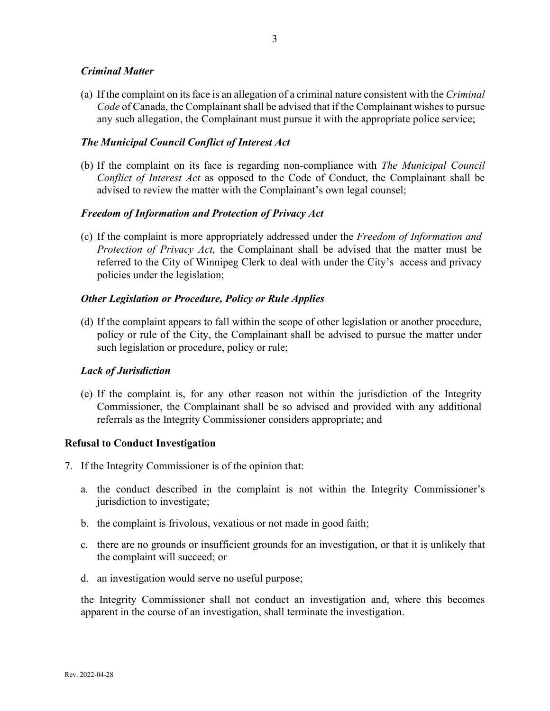### *Criminal Matter*

(a) If the complaint on its face is an allegation of a criminal nature consistent with the *Criminal Code* of Canada, the Complainant shall be advised that if the Complainant wishes to pursue any such allegation, the Complainant must pursue it with the appropriate police service;

### *The Municipal Council Conflict of Interest Act*

(b) If the complaint on its face is regarding non-compliance with *The Municipal Council Conflict of Interest Act* as opposed to the Code of Conduct, the Complainant shall be advised to review the matter with the Complainant's own legal counsel;

### *Freedom of Information and Protection of Privacy Act*

(c) If the complaint is more appropriately addressed under the *Freedom of Information and Protection of Privacy Act,* the Complainant shall be advised that the matter must be referred to the City of Winnipeg Clerk to deal with under the City's access and privacy policies under the legislation;

### *Other Legislation or Procedure, Policy or Rule Applies*

(d) If the complaint appears to fall within the scope of other legislation or another procedure, policy or rule of the City, the Complainant shall be advised to pursue the matter under such legislation or procedure, policy or rule;

### *Lack of Jurisdiction*

(e) If the complaint is, for any other reason not within the jurisdiction of the Integrity Commissioner, the Complainant shall be so advised and provided with any additional referrals as the Integrity Commissioner considers appropriate; and

### **Refusal to Conduct Investigation**

- 7. If the Integrity Commissioner is of the opinion that:
	- a. the conduct described in the complaint is not within the Integrity Commissioner's jurisdiction to investigate;
	- b. the complaint is frivolous, vexatious or not made in good faith;
	- c. there are no grounds or insufficient grounds for an investigation, or that it is unlikely that the complaint will succeed; or
	- d. an investigation would serve no useful purpose;

the Integrity Commissioner shall not conduct an investigation and, where this becomes apparent in the course of an investigation, shall terminate the investigation.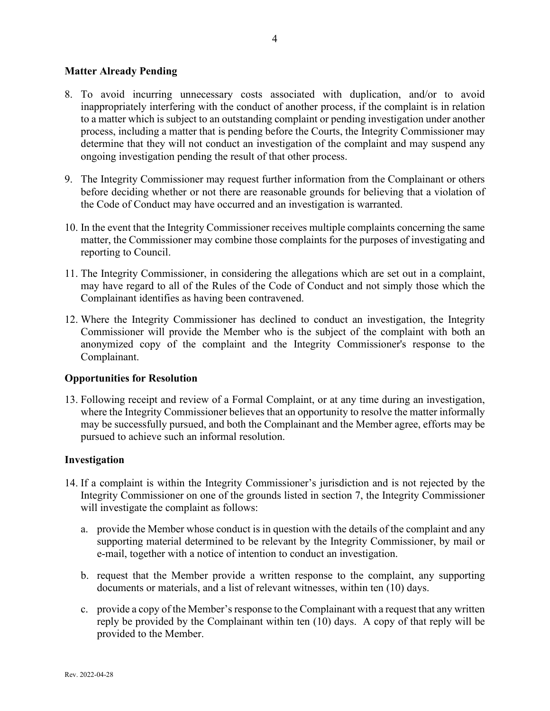### **Matter Already Pending**

- 8. To avoid incurring unnecessary costs associated with duplication, and/or to avoid inappropriately interfering with the conduct of another process, if the complaint is in relation to a matter which is subject to an outstanding complaint or pending investigation under another process, including a matter that is pending before the Courts, the Integrity Commissioner may determine that they will not conduct an investigation of the complaint and may suspend any ongoing investigation pending the result of that other process.
- 9. The Integrity Commissioner may request further information from the Complainant or others before deciding whether or not there are reasonable grounds for believing that a violation of the Code of Conduct may have occurred and an investigation is warranted.
- 10. In the event that the Integrity Commissioner receives multiple complaints concerning the same matter, the Commissioner may combine those complaints for the purposes of investigating and reporting to Council.
- 11. The Integrity Commissioner, in considering the allegations which are set out in a complaint, may have regard to all of the Rules of the Code of Conduct and not simply those which the Complainant identifies as having been contravened.
- 12. Where the Integrity Commissioner has declined to conduct an investigation, the Integrity Commissioner will provide the Member who is the subject of the complaint with both an anonymized copy of the complaint and the Integrity Commissioner's response to the Complainant.

### **Opportunities for Resolution**

13. Following receipt and review of a Formal Complaint, or at any time during an investigation, where the Integrity Commissioner believes that an opportunity to resolve the matter informally may be successfully pursued, and both the Complainant and the Member agree, efforts may be pursued to achieve such an informal resolution.

### **Investigation**

- 14. If a complaint is within the Integrity Commissioner's jurisdiction and is not rejected by the Integrity Commissioner on one of the grounds listed in section 7, the Integrity Commissioner will investigate the complaint as follows:
	- a. provide the Member whose conduct is in question with the details of the complaint and any supporting material determined to be relevant by the Integrity Commissioner, by mail or e-mail, together with a notice of intention to conduct an investigation.
	- b. request that the Member provide a written response to the complaint, any supporting documents or materials, and a list of relevant witnesses, within ten (10) days.
	- c. provide a copy of the Member's response to the Complainant with a request that any written reply be provided by the Complainant within ten (10) days. A copy of that reply will be provided to the Member.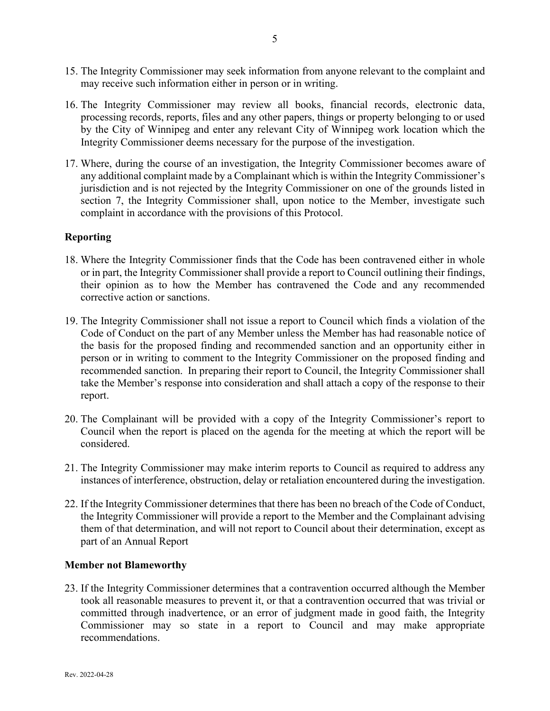- 15. The Integrity Commissioner may seek information from anyone relevant to the complaint and may receive such information either in person or in writing.
- 16. The Integrity Commissioner may review all books, financial records, electronic data, processing records, reports, files and any other papers, things or property belonging to or used by the City of Winnipeg and enter any relevant City of Winnipeg work location which the Integrity Commissioner deems necessary for the purpose of the investigation.
- 17. Where, during the course of an investigation, the Integrity Commissioner becomes aware of any additional complaint made by a Complainant which is within the Integrity Commissioner's jurisdiction and is not rejected by the Integrity Commissioner on one of the grounds listed in section 7, the Integrity Commissioner shall, upon notice to the Member, investigate such complaint in accordance with the provisions of this Protocol.

### **Reporting**

- 18. Where the Integrity Commissioner finds that the Code has been contravened either in whole or in part, the Integrity Commissioner shall provide a report to Council outlining their findings, their opinion as to how the Member has contravened the Code and any recommended corrective action or sanctions.
- 19. The Integrity Commissioner shall not issue a report to Council which finds a violation of the Code of Conduct on the part of any Member unless the Member has had reasonable notice of the basis for the proposed finding and recommended sanction and an opportunity either in person or in writing to comment to the Integrity Commissioner on the proposed finding and recommended sanction. In preparing their report to Council, the Integrity Commissioner shall take the Member's response into consideration and shall attach a copy of the response to their report.
- 20. The Complainant will be provided with a copy of the Integrity Commissioner's report to Council when the report is placed on the agenda for the meeting at which the report will be considered.
- 21. The Integrity Commissioner may make interim reports to Council as required to address any instances of interference, obstruction, delay or retaliation encountered during the investigation.
- 22. If the Integrity Commissioner determines that there has been no breach of the Code of Conduct, the Integrity Commissioner will provide a report to the Member and the Complainant advising them of that determination, and will not report to Council about their determination, except as part of an Annual Report

### **Member not Blameworthy**

23. If the Integrity Commissioner determines that a contravention occurred although the Member took all reasonable measures to prevent it, or that a contravention occurred that was trivial or committed through inadvertence, or an error of judgment made in good faith, the Integrity Commissioner may so state in a report to Council and may make appropriate recommendations.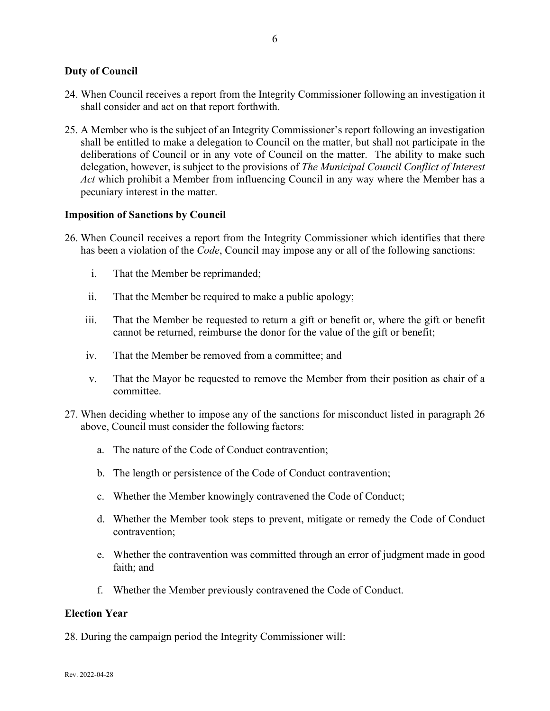### **Duty of Council**

- 24. When Council receives a report from the Integrity Commissioner following an investigation it shall consider and act on that report forthwith.
- 25. A Member who is the subject of an Integrity Commissioner's report following an investigation shall be entitled to make a delegation to Council on the matter, but shall not participate in the deliberations of Council or in any vote of Council on the matter. The ability to make such delegation, however, is subject to the provisions of *The Municipal Council Conflict of Interest Act* which prohibit a Member from influencing Council in any way where the Member has a pecuniary interest in the matter.

### **Imposition of Sanctions by Council**

- 26. When Council receives a report from the Integrity Commissioner which identifies that there has been a violation of the *Code*, Council may impose any or all of the following sanctions:
	- i. That the Member be reprimanded;
	- ii. That the Member be required to make a public apology;
	- iii. That the Member be requested to return a gift or benefit or, where the gift or benefit cannot be returned, reimburse the donor for the value of the gift or benefit;
	- iv. That the Member be removed from a committee; and
	- v. That the Mayor be requested to remove the Member from their position as chair of a committee.
- 27. When deciding whether to impose any of the sanctions for misconduct listed in paragraph 26 above, Council must consider the following factors:
	- a. The nature of the Code of Conduct contravention;
	- b. The length or persistence of the Code of Conduct contravention;
	- c. Whether the Member knowingly contravened the Code of Conduct;
	- d. Whether the Member took steps to prevent, mitigate or remedy the Code of Conduct contravention;
	- e. Whether the contravention was committed through an error of judgment made in good faith; and
	- f. Whether the Member previously contravened the Code of Conduct.

### **Election Year**

28. During the campaign period the Integrity Commissioner will: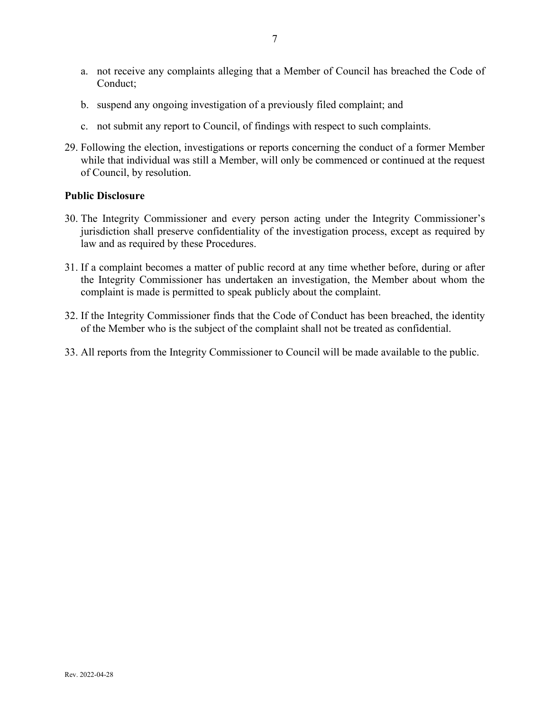- a. not receive any complaints alleging that a Member of Council has breached the Code of Conduct;
- b. suspend any ongoing investigation of a previously filed complaint; and
- c. not submit any report to Council, of findings with respect to such complaints.
- 29. Following the election, investigations or reports concerning the conduct of a former Member while that individual was still a Member, will only be commenced or continued at the request of Council, by resolution.

### **Public Disclosure**

- 30. The Integrity Commissioner and every person acting under the Integrity Commissioner's jurisdiction shall preserve confidentiality of the investigation process, except as required by law and as required by these Procedures.
- 31. If a complaint becomes a matter of public record at any time whether before, during or after the Integrity Commissioner has undertaken an investigation, the Member about whom the complaint is made is permitted to speak publicly about the complaint.
- 32. If the Integrity Commissioner finds that the Code of Conduct has been breached, the identity of the Member who is the subject of the complaint shall not be treated as confidential.
- 33. All reports from the Integrity Commissioner to Council will be made available to the public.